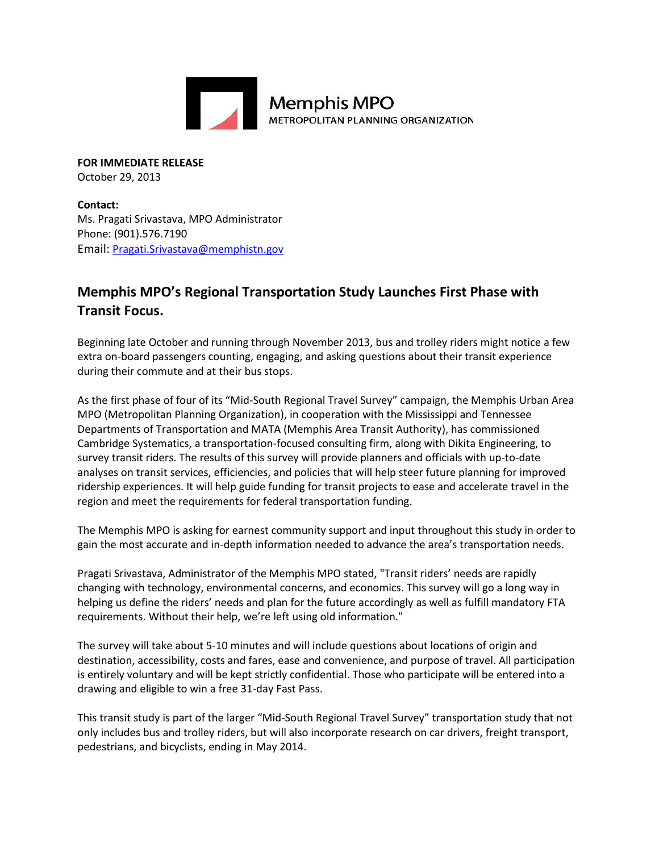

**FOR IMMEDIATE RELEASE** October 29, 2013

**Contact:** Ms. Pragati Srivastava, MPO Administrator Phone: (901).576.7190 Email: [Pragati.Srivastava@memphistn.gov](mailto:info@hornsbybrandesign.com)

## **Memphis MPO's Regional Transportation Study Launches First Phase with Transit Focus.**

Beginning late October and running through November 2013, bus and trolley riders might notice a few extra on-board passengers counting, engaging, and asking questions about their transit experience during their commute and at their bus stops.

METROPOLITAN PLANNING ORGANIZATION

As the first phase of four of its "Mid-South Regional Travel Survey" campaign, the Memphis Urban Area MPO (Metropolitan Planning Organization), in cooperation with the Mississippi and Tennessee Departments of Transportation and MATA (Memphis Area Transit Authority), has commissioned Cambridge Systematics, a transportation-focused consulting firm, along with Dikita Engineering, to survey transit riders. The results of this survey will provide planners and officials with up-to-date analyses on transit services, efficiencies, and policies that will help steer future planning for improved ridership experiences. It will help guide funding for transit projects to ease and accelerate travel in the region and meet the requirements for federal transportation funding.

The Memphis MPO is asking for earnest community support and input throughout this study in order to gain the most accurate and in-depth information needed to advance the area's transportation needs.

Pragati Srivastava, Administrator of the Memphis MPO stated, "Transit riders' needs are rapidly changing with technology, environmental concerns, and economics. This survey will go a long way in helping us define the riders' needs and plan for the future accordingly as well as fulfill mandatory FTA requirements. Without their help, we're left using old information."

The survey will take about 5-10 minutes and will include questions about locations of origin and destination, accessibility, costs and fares, ease and convenience, and purpose of travel. All participation is entirely voluntary and will be kept strictly confidential. Those who participate will be entered into a drawing and eligible to win a free 31-day Fast Pass.

This transit study is part of the larger "Mid-South Regional Travel Survey" transportation study that not only includes bus and trolley riders, but will also incorporate research on car drivers, freight transport, pedestrians, and bicyclists, ending in May 2014.